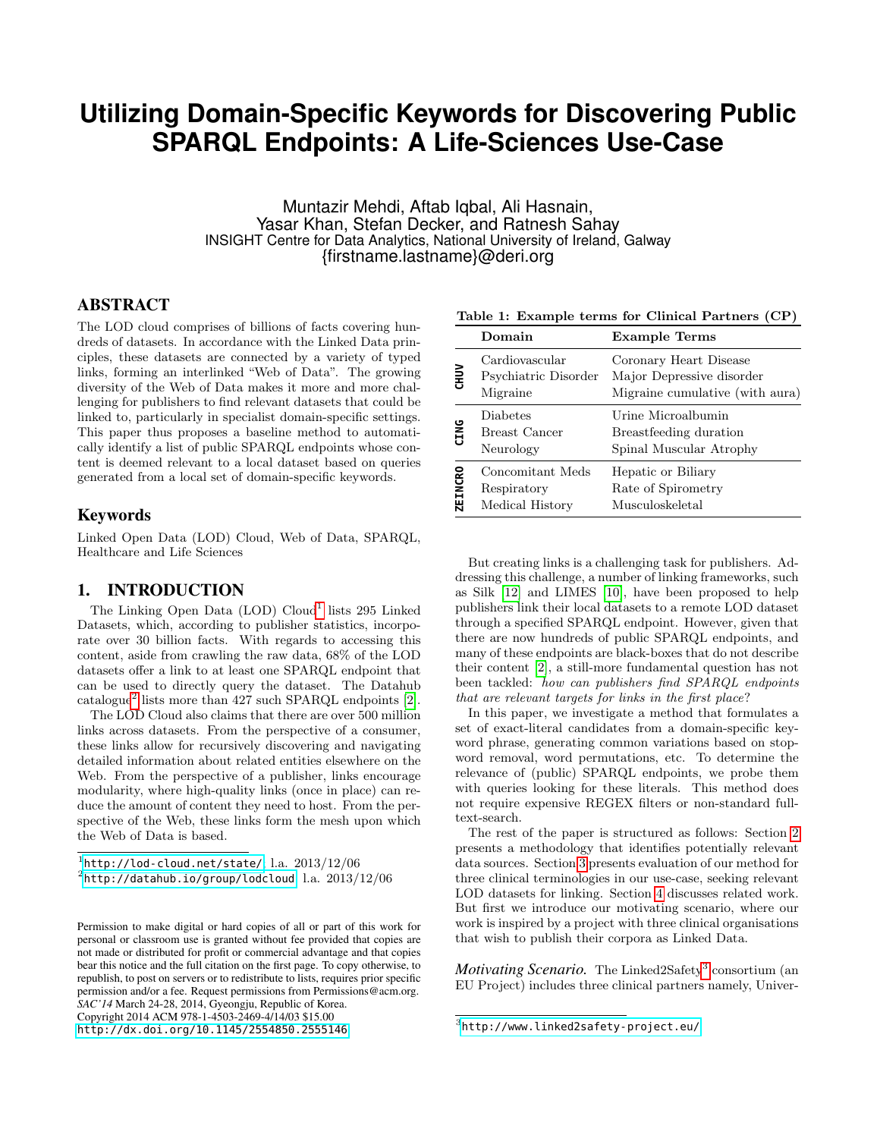# **Utilizing Domain-Specific Keywords for Discovering Public SPARQL Endpoints: A Life-Sciences Use-Case**

Muntazir Mehdi, Aftab Iqbal, Ali Hasnain, Yasar Khan, Stefan Decker, and Ratnesh Sahay INSIGHT Centre for Data Analytics, National University of Ireland, Galway {firstname.lastname}@deri.org

# ABSTRACT

The LOD cloud comprises of billions of facts covering hundreds of datasets. In accordance with the Linked Data principles, these datasets are connected by a variety of typed links, forming an interlinked "Web of Data". The growing diversity of the Web of Data makes it more and more challenging for publishers to find relevant datasets that could be linked to, particularly in specialist domain-specific settings. This paper thus proposes a baseline method to automatically identify a list of public SPARQL endpoints whose content is deemed relevant to a local dataset based on queries generated from a local set of domain-specific keywords.

#### Keywords

Linked Open Data (LOD) Cloud, Web of Data, SPARQL, Healthcare and Life Sciences

## 1. INTRODUCTION

The Linking Open Data  $(LOD)$  Cloud<sup>[1](#page-0-0)</sup> lists 295 Linked Datasets, which, according to publisher statistics, incorporate over 30 billion facts. With regards to accessing this content, aside from crawling the raw data, 68% of the LOD datasets offer a link to at least one SPARQL endpoint that can be used to directly query the dataset. The Datahub catalogue[2](#page-0-1) lists more than 427 such SPARQL endpoints [\[2\]](#page-2-0).

The LOD Cloud also claims that there are over 500 million links across datasets. From the perspective of a consumer, these links allow for recursively discovering and navigating detailed information about related entities elsewhere on the Web. From the perspective of a publisher, links encourage modularity, where high-quality links (once in place) can reduce the amount of content they need to host. From the perspective of the Web, these links form the mesh upon which the Web of Data is based.

<span id="page-0-1"></span> $^{2}$ <http://datahub.io/group/lodcloud>; l.a.  $2013/12/06$ 

<span id="page-0-3"></span>Table 1: Example terms for Clinical Partners (CP)

|                | Domain                                             | <b>Example Terms</b>                                                                   |
|----------------|----------------------------------------------------|----------------------------------------------------------------------------------------|
| <b>GHUV</b>    | Cardiovascular<br>Psychiatric Disorder<br>Migraine | Coronary Heart Disease<br>Major Depressive disorder<br>Migraine cumulative (with aura) |
| <b>CING</b>    | <b>Diabetes</b><br>Breast Cancer<br>Neurology      | Urine Microalbumin<br>Breastfeeding duration<br>Spinal Muscular Atrophy                |
| <b>ZEINCRO</b> | Concomitant Meds<br>Respiratory<br>Medical History | Hepatic or Biliary<br>Rate of Spirometry<br>Musculoskeletal                            |

But creating links is a challenging task for publishers. Addressing this challenge, a number of linking frameworks, such as Silk [\[12\]](#page-2-1) and LIMES [\[10\]](#page-2-2), have been proposed to help publishers link their local datasets to a remote LOD dataset through a specified SPARQL endpoint. However, given that there are now hundreds of public SPARQL endpoints, and many of these endpoints are black-boxes that do not describe their content [\[2\]](#page-2-0), a still-more fundamental question has not been tackled: how can publishers find SPARQL endpoints that are relevant targets for links in the first place?

In this paper, we investigate a method that formulates a set of exact-literal candidates from a domain-specific keyword phrase, generating common variations based on stopword removal, word permutations, etc. To determine the relevance of (public) SPARQL endpoints, we probe them with queries looking for these literals. This method does not require expensive REGEX filters or non-standard fulltext-search.

The rest of the paper is structured as follows: Section [2](#page-1-0) presents a methodology that identifies potentially relevant data sources. Section [3](#page-1-1) presents evaluation of our method for three clinical terminologies in our use-case, seeking relevant LOD datasets for linking. Section [4](#page-2-3) discusses related work. But first we introduce our motivating scenario, where our work is inspired by a project with three clinical organisations that wish to publish their corpora as Linked Data.

Motivating Scenario. The Linked2Safety<sup>[3](#page-0-2)</sup> consortium (an EU Project) includes three clinical partners namely, Univer-

<span id="page-0-0"></span> $1$ <http://lod-cloud.net/state/>; l.a.  $2013/12/06$ 

Permission to make digital or hard copies of all or part of this work for personal or classroom use is granted without fee provided that copies are not made or distributed for profit or commercial advantage and that copies bear this notice and the full citation on the first page. To copy otherwise, to republish, to post on servers or to redistribute to lists, requires prior specific permission and/or a fee. Request permissions from Permissions@acm.org. *SAC'14* March 24-28, 2014, Gyeongju, Republic of Korea. Copyright 2014 ACM 978-1-4503-2469-4/14/03 \$15.00

<http://dx.doi.org/10.1145/2554850.2555146>.

<span id="page-0-2"></span> $^3$ <http://www.linked2safety-project.eu/>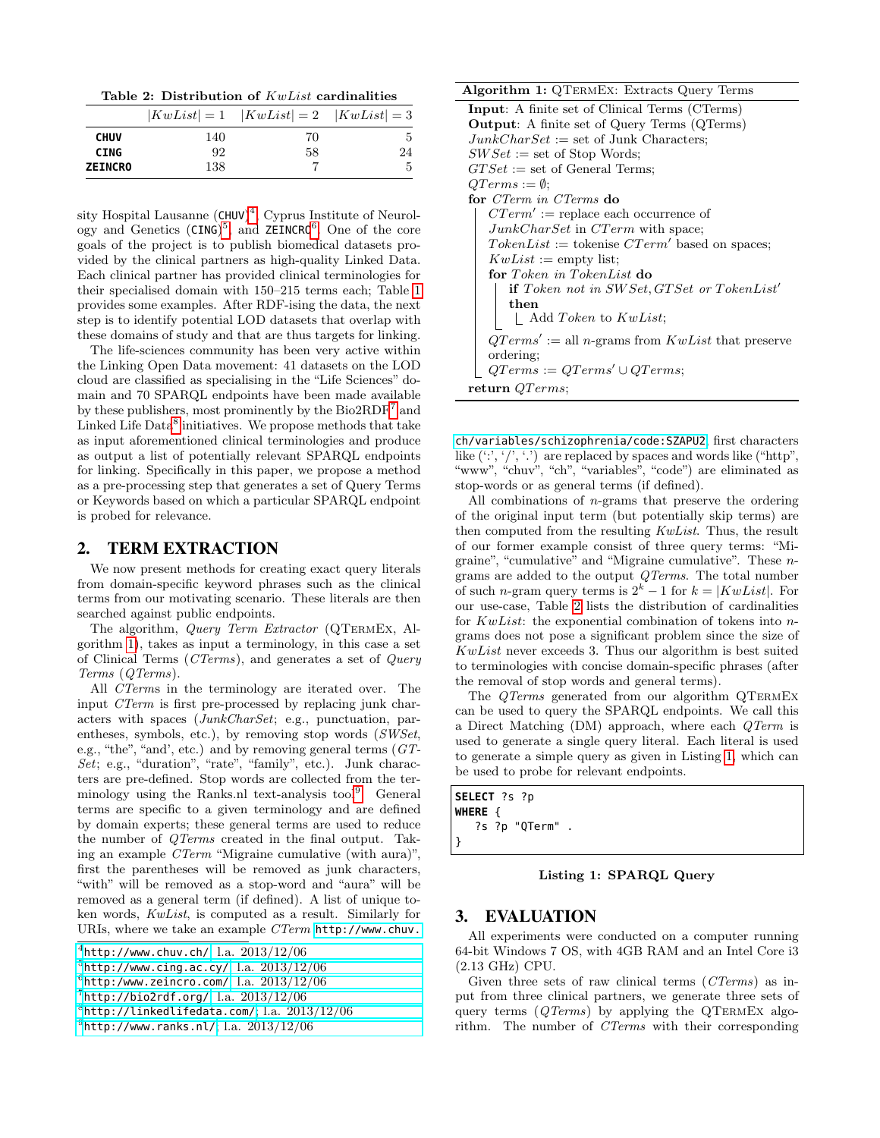<span id="page-1-9"></span>Table 2: Distribution of KwList cardinalities

|                |     | $ KwList =1$ $ KwList =2$ $ KwList =3$ |    |
|----------------|-----|----------------------------------------|----|
| <b>CHUV</b>    | 140 | 70                                     | 5  |
| <b>CING</b>    | 92  | 58                                     | 24 |
| <b>ZEINCRO</b> | 138 |                                        | 5  |

sity Hospital Lausanne (CHUV)<sup>[4](#page-1-2)</sup>, Cyprus Institute of Neurol-ogy and Genetics (CING)<sup>[5](#page-1-3)</sup>, and ZEINCRO<sup>[6](#page-1-4)</sup>. One of the core goals of the project is to publish biomedical datasets provided by the clinical partners as high-quality Linked Data. Each clinical partner has provided clinical terminologies for their specialised domain with 150–215 terms each; Table [1](#page-0-3) provides some examples. After RDF-ising the data, the next step is to identify potential LOD datasets that overlap with these domains of study and that are thus targets for linking.

The life-sciences community has been very active within the Linking Open Data movement: 41 datasets on the LOD cloud are classified as specialising in the "Life Sciences" domain and 70 SPARQL endpoints have been made available by these publishers, most prominently by the  $\text{Bio2RDF}^7$  $\text{Bio2RDF}^7$  and Linked Life Data<sup>[8](#page-1-6)</sup> initiatives. We propose methods that take as input aforementioned clinical terminologies and produce as output a list of potentially relevant SPARQL endpoints for linking. Specifically in this paper, we propose a method as a pre-processing step that generates a set of Query Terms or Keywords based on which a particular SPARQL endpoint is probed for relevance.

#### <span id="page-1-0"></span>2. TERM EXTRACTION

We now present methods for creating exact query literals from domain-specific keyword phrases such as the clinical terms from our motivating scenario. These literals are then searched against public endpoints.

The algorithm, *Query Term Extractor* (QTERMEX, Algorithm [1\)](#page-1-7), takes as input a terminology, in this case a set of Clinical Terms (CTerms), and generates a set of Query Terms (QTerms).

All CTerms in the terminology are iterated over. The input CTerm is first pre-processed by replacing junk characters with spaces (JunkCharSet; e.g., punctuation, parentheses, symbols, etc.), by removing stop words (SWSet, e.g., "the", "and', etc.) and by removing general terms (GT-Set; e.g., "duration", "rate", "family", etc.). Junk characters are pre-defined. Stop words are collected from the ter-minology using the Ranks.nl text-analysis tool<sup>[9](#page-1-8)</sup>. General terms are specific to a given terminology and are defined by domain experts; these general terms are used to reduce the number of QTerms created in the final output. Taking an example CTerm "Migraine cumulative (with aura)", first the parentheses will be removed as junk characters, "with" will be removed as a stop-word and "aura" will be removed as a general term (if defined). A list of unique token words, KwList, is computed as a result. Similarly for URIs, where we take an example CTerm [http://www.chuv.](http://www.chuv.ch/variables/schizophrenia/code:SZAPU2)

Algorithm 1: QTermEx: Extracts Query Terms Input: A finite set of Clinical Terms (CTerms) Output: A finite set of Query Terms (QTerms)  $JunkCharSet := set of Junk Characters;$  $SWSet := set of Stop Words;$  $GTSet := set of General Terms;$  $QTerms := \emptyset;$ for CTerm in CTerms do  $CTerm' := \text{replace each occurrence of}$  $JunkCharSet$  in  $CTerm$  with space;  $TokenList := \text{tokenise } CTerm'$  based on spaces;  $KwList :=$  empty list; for Token in TokenList do if Token not in  $SWSet, GTSet$  or TokenList' then  $\perp$  Add Token to KwList;  $QTerms' := \text{all } n\text{-grams from } KwList \text{ that preserve}$ ordering;  $QTerms := QTerms' \cup QTerms;$ return QTerms;

<span id="page-1-7"></span>[ch/variables/schizophrenia/code:SZAPU2](http://www.chuv.ch/variables/schizophrenia/code:SZAPU2), first characters like  $(\cdot;\cdot,'',\cdot')$  are replaced by spaces and words like ("http", "www", "chuv", "ch", "variables", "code") are eliminated as stop-words or as general terms (if defined).

All combinations of n-grams that preserve the ordering of the original input term (but potentially skip terms) are then computed from the resulting KwList. Thus, the result of our former example consist of three query terms: "Migraine", "cumulative" and "Migraine cumulative". These ngrams are added to the output QTerms. The total number of such n-gram query terms is  $2^k - 1$  for  $k = |KwList|$ . For our use-case, Table [2](#page-1-9) lists the distribution of cardinalities for KwList: the exponential combination of tokens into ngrams does not pose a significant problem since the size of KwList never exceeds 3. Thus our algorithm is best suited to terminologies with concise domain-specific phrases (after the removal of stop words and general terms).

The *QTerms* generated from our algorithm *QTERMEX* can be used to query the SPARQL endpoints. We call this a Direct Matching (DM) approach, where each QTerm is used to generate a single query literal. Each literal is used to generate a simple query as given in Listing [1,](#page-1-10) which can be used to probe for relevant endpoints.

<span id="page-1-10"></span>

| SELECT ?s ?p    |  |
|-----------------|--|
| WHERE {         |  |
| ?s ?p "QTerm" . |  |
|                 |  |

Listing 1: SPARQL Query

# <span id="page-1-1"></span>3. EVALUATION

All experiments were conducted on a computer running 64-bit Windows 7 OS, with 4GB RAM and an Intel Core i3 (2.13 GHz) CPU.

Given three sets of raw clinical terms (CTerms) as input from three clinical partners, we generate three sets of query terms  $(QTerms)$  by applying the QTERMEX algorithm. The number of CTerms with their corresponding

<span id="page-1-2"></span> $^4$ [http://www.chuv.ch/](http://www.chuv.ch/variables/schizophrenia/code:SZAPU2); l.a.  $2013/12/06$ 

<span id="page-1-3"></span> $^5$ [http://www.cing.ac.cy/](http://www.chuv.ch/variables/schizophrenia/code:SZAPU2); $\mathrm{l.a.}$   $2013/12/06$ 

<span id="page-1-4"></span> $^6$ [http:/www.zeincro.com/](http://www.chuv.ch/variables/schizophrenia/code:SZAPU2); l.a.  $2013/12/06$ 

<span id="page-1-5"></span> $^{7}$ [http://bio2rdf.org/](http://www.chuv.ch/variables/schizophrenia/code:SZAPU2); l.a.  $2013/12/06$ 

<span id="page-1-6"></span> $8$ [http://linkedlifedata.com/](http://www.chuv.ch/variables/schizophrenia/code:SZAPU2); l.a.  $2013/12/06$ 

<span id="page-1-8"></span> $^9$ [http://www.ranks.nl/](http://www.chuv.ch/variables/schizophrenia/code:SZAPU2); l.a.  $2013/12/06$